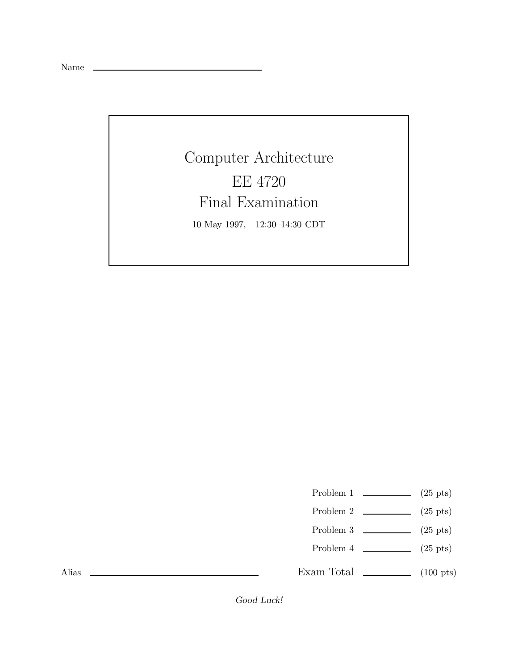Name

Computer Architecture EE 4720 Final Examination 10 May 1997, 12:30–14:30 CDT

Problem 1  $\qquad \qquad$  (25 pts)

- Problem 2  $\qquad \qquad$  (25 pts)
- Problem 3  $\qquad \qquad$  (25 pts)
- Problem  $4 \t\t(25 \text{ pts})$

Exam Total  $\qquad \qquad$  (100 pts)

Alias

*Good Luck!*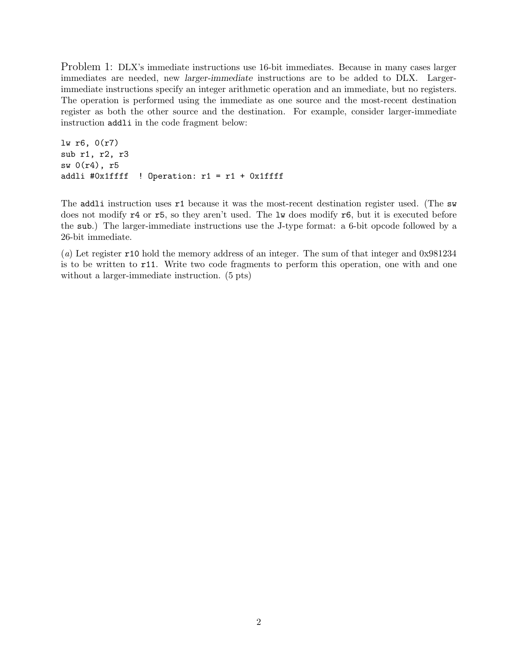Problem 1: DLX's immediate instructions use 16-bit immediates. Because in many cases larger immediates are needed, new *larger-immediate* instructions are to be added to DLX. Largerimmediate instructions specify an integer arithmetic operation and an immediate, but no registers. The operation is performed using the immediate as one source and the most-recent destination register as both the other source and the destination. For example, consider larger-immediate instruction addli in the code fragment below:

```
lw r6, 0(r7)
sub r1, r2, r3
sw 0(r4), r5
addli #0x1ffff ! Operation: r1 = r1 + 0x1ffff
```
The addli instruction uses r1 because it was the most-recent destination register used. (The sw does not modify r4 or r5, so they aren't used. The lw does modify r6, but it is executed before the sub.) The larger-immediate instructions use the J-type format: a 6-bit opcode followed by a 26-bit immediate.

(a) Let register r10 hold the memory address of an integer. The sum of that integer and 0x981234 is to be written to r11. Write two code fragments to perform this operation, one with and one without a larger-immediate instruction. (5 pts)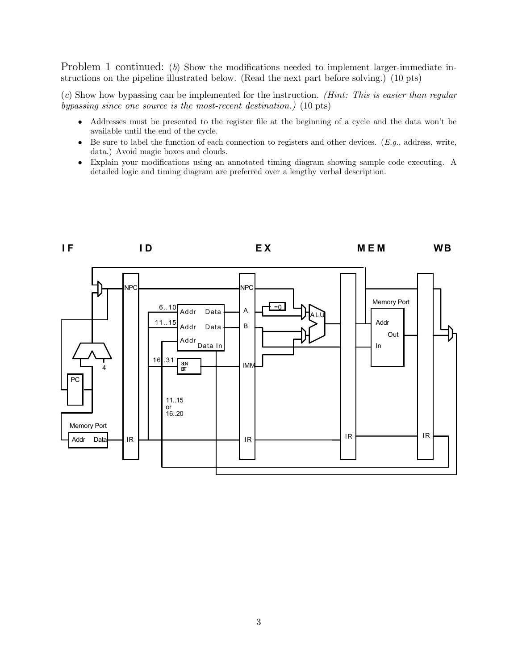Problem 1 continued: (b) Show the modifications needed to implement larger-immediate instructions on the pipeline illustrated below. (Read the next part before solving.) (10 pts)

(c) Show how bypassing can be implemented for the instruction. (Hint: This is easier than regular bypassing since one source is the most-recent destination.) (10 pts)

- Addresses must be presented to the register file at the beginning of a cycle and the data won't be available until the end of the cycle.
- Be sure to label the function of each connection to registers and other devices. ( $E.g.,$  address, write, data.) Avoid magic boxes and clouds.
- Explain your modifications using an annotated timing diagram showing sample code executing. A detailed logic and timing diagram are preferred over a lengthy verbal description.

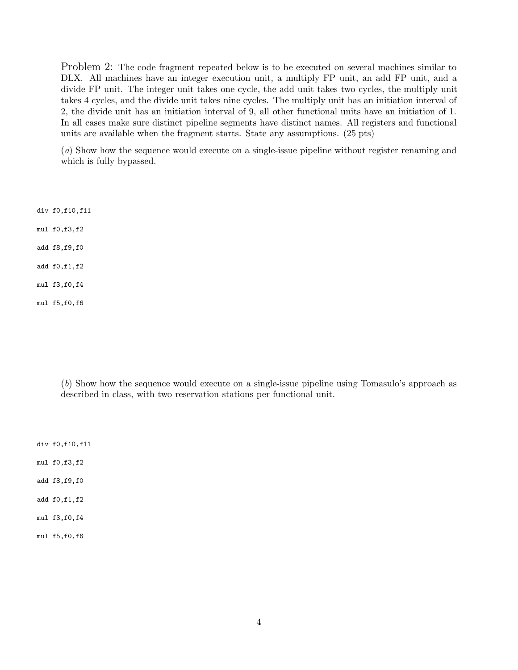Problem 2: The code fragment repeated below is to be executed on several machines similar to DLX. All machines have an integer execution unit, a multiply FP unit, an add FP unit, and a divide FP unit. The integer unit takes one cycle, the add unit takes two cycles, the multiply unit takes 4 cycles, and the divide unit takes nine cycles. The multiply unit has an initiation interval of 2, the divide unit has an initiation interval of 9, all other functional units have an initiation of 1. In all cases make sure distinct pipeline segments have distinct names. All registers and functional units are available when the fragment starts. State any assumptions. (25 pts)

(a) Show how the sequence would execute on a single-issue pipeline without register renaming and which is fully bypassed.

div f0,f10,f11

mul f0,f3,f2

add f8,f9,f0

add f0,f1,f2

mul f3,f0,f4

mul f5,f0,f6

(b) Show how the sequence would execute on a single-issue pipeline using Tomasulo's approach as described in class, with two reservation stations per functional unit.

div f0,f10,f11

mul f0,f3,f2

add f8,f9,f0

add f0,f1,f2

mul f3,f0,f4

mul f5,f0,f6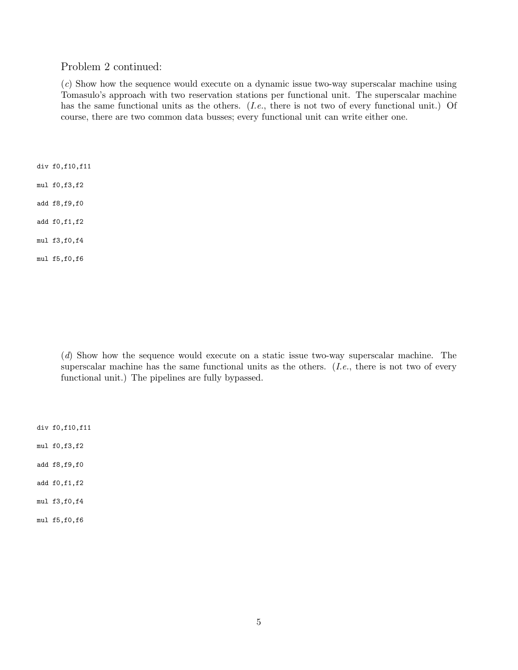## Problem 2 continued:

(c) Show how the sequence would execute on a dynamic issue two-way superscalar machine using Tomasulo's approach with two reservation stations per functional unit. The superscalar machine has the same functional units as the others. (I.e., there is not two of every functional unit.) Of course, there are two common data busses; every functional unit can write either one.

div f0,f10,f11

mul f0,f3,f2

add f8,f9,f0

add f0,f1,f2

mul f3,f0,f4

mul f5,f0,f6

(d) Show how the sequence would execute on a static issue two-way superscalar machine. The superscalar machine has the same functional units as the others. (I.e., there is not two of every functional unit.) The pipelines are fully bypassed.

div f0,f10,f11

mul f0,f3,f2

add f8,f9,f0

add f0,f1,f2

mul f3,f0,f4

mul f5,f0,f6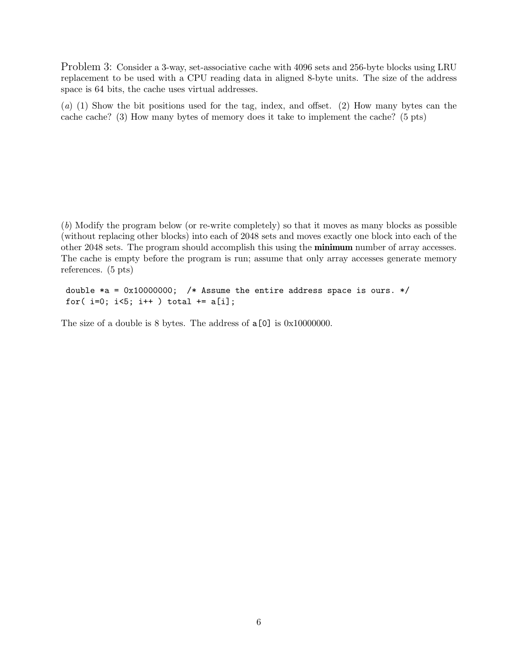Problem 3: Consider a 3-way, set-associative cache with 4096 sets and 256-byte blocks using LRU replacement to be used with a CPU reading data in aligned 8-byte units. The size of the address space is 64 bits, the cache uses virtual addresses.

(a) (1) Show the bit positions used for the tag, index, and offset. (2) How many bytes can the cache cache? (3) How many bytes of memory does it take to implement the cache? (5 pts)

(b) Modify the program below (or re-write completely) so that it moves as many blocks as possible (without replacing other blocks) into each of 2048 sets and moves exactly one block into each of the other 2048 sets. The program should accomplish this using the **minimum** number of array accesses. The cache is empty before the program is run; assume that only array accesses generate memory references. (5 pts)

double  $*a = 0x10000000;$  /\* Assume the entire address space is ours. \*/ for( $i=0$ ;  $i<5$ ;  $i++$ ) total  $+=$  a[i];

The size of a double is 8 bytes. The address of  $a[0]$  is 0x10000000.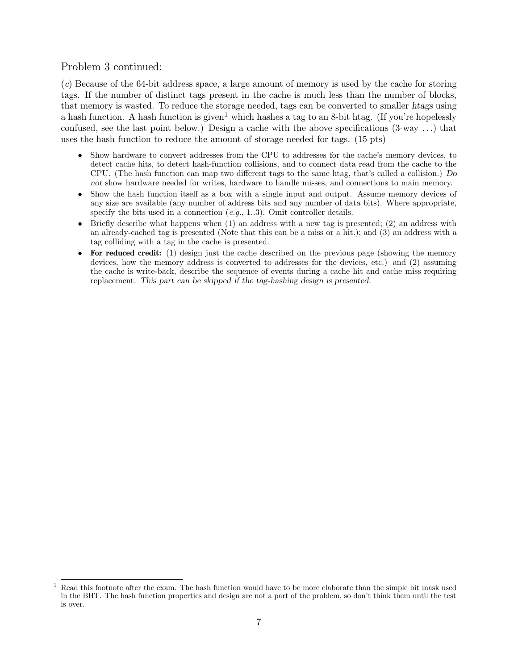## Problem 3 continued:

(c) Because of the 64-bit address space, a large amount of memory is used by the cache for storing tags. If the number of distinct tags present in the cache is much less than the number of blocks, that memory is wasted. To reduce the storage needed, tags can be converted to smaller *htags* using a hash function. A hash function is given<sup>1</sup> which hashes a tag to an 8-bit htag. (If you're hopelessly confused, see the last point below.) Design a cache with the above specifications  $(3-way ...)$  that uses the hash function to reduce the amount of storage needed for tags. (15 pts)

- Show hardware to convert addresses from the CPU to addresses for the cache's memory devices, to detect cache hits, to detect hash-function collisions, and to connect data read from the cache to the CPU. (The hash function can map two different tags to the same htag, that's called a collision.) *Do not* show hardware needed for writes, hardware to handle misses, and connections to main memory.
- Show the hash function itself as a box with a single input and output. Assume memory devices of any size are available (any number of address bits and any number of data bits). Where appropriate, specify the bits used in a connection  $(e.g., 1..3)$ . Omit controller details.
- Briefly describe what happens when  $(1)$  an address with a new tag is presented;  $(2)$  an address with an already-cached tag is presented (Note that this can be a miss or a hit.); and (3) an address with a tag colliding with a tag in the cache is presented.
- For reduced credit: (1) design just the cache described on the previous page (showing the memory devices, how the memory address is converted to addresses for the devices, etc.) and (2) assuming the cache is write-back, describe the sequence of events during a cache hit and cache miss requiring replacement. *This part can be skipped if the tag-hashing design is presented.*

 $1$  Read this footnote after the exam. The hash function would have to be more elaborate than the simple bit mask used in the BHT. The hash function properties and design are not a part of the problem, so don't think them until the test is over.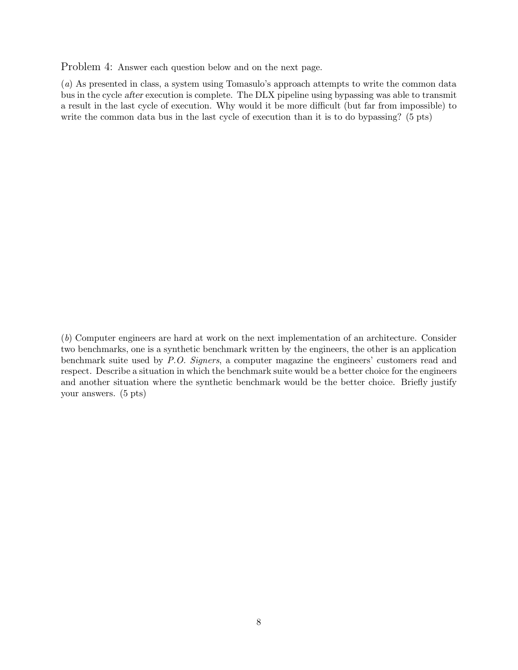Problem 4: Answer each question below and on the next page.

(a) As presented in class, a system using Tomasulo's approach attempts to write the common data bus in the cycle *after* execution is complete. The DLX pipeline using bypassing was able to transmit a result in the last cycle of execution. Why would it be more difficult (but far from impossible) to write the common data bus in the last cycle of execution than it is to do bypassing? (5 pts)

(b) Computer engineers are hard at work on the next implementation of an architecture. Consider two benchmarks, one is a synthetic benchmark written by the engineers, the other is an application benchmark suite used by P.O. Signers, a computer magazine the engineers' customers read and respect. Describe a situation in which the benchmark suite would be a better choice for the engineers and another situation where the synthetic benchmark would be the better choice. Briefly justify your answers. (5 pts)